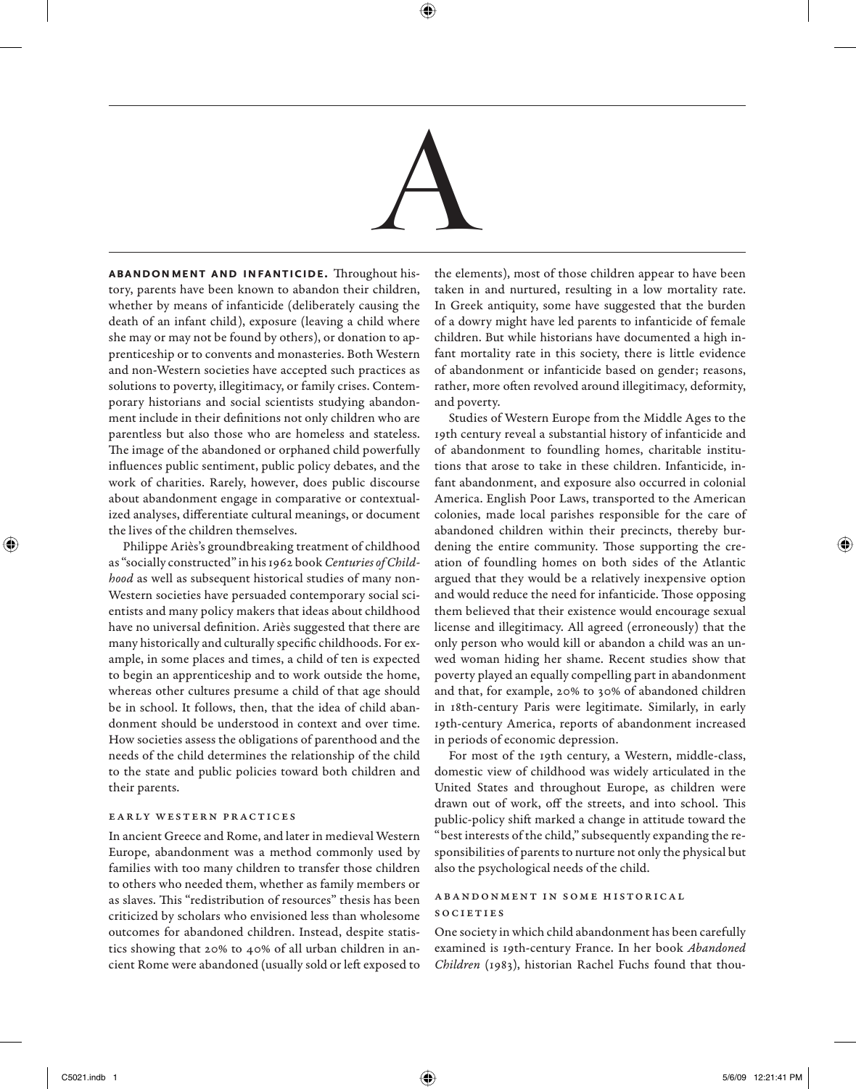

ABANDONMENT AND INFANTICIDE. Throughout history, parents have been known to abandon their children, whether by means of infanticide (deliberately causing the death of an infant child), exposure (leaving a child where she may or may not be found by others), or donation to apprenticeship or to convents and monasteries. Both Western and non-Western societies have accepted such practices as solutions to poverty, illegitimacy, or family crises. Contemporary historians and social scientists studying abandonment include in their definitions not only children who are parentless but also those who are homeless and stateless. The image of the abandoned or orphaned child powerfully influences public sentiment, public policy debates, and the work of charities. Rarely, however, does public discourse about abandonment engage in comparative or contextualized analyses, differentiate cultural meanings, or document the lives of the children themselves.

Philippe Ariès's groundbreaking treatment of childhood as "socially constructed" in his 1962 book *Centuries of Childhood* as well as subsequent historical studies of many non-Western societies have persuaded contemporary social scientists and many policy makers that ideas about childhood have no universal definition. Ariès suggested that there are many historically and culturally specific childhoods. For example, in some places and times, a child of ten is expected to begin an apprenticeship and to work outside the home, whereas other cultures presume a child of that age should be in school. It follows, then, that the idea of child abandonment should be understood in context and over time. How societies assess the obligations of parenthood and the needs of the child determines the relationship of the child to the state and public policies toward both children and their parents.

Early Western Practices In ancient Greece and Rome, and later in medieval Western Europe, abandonment was a method commonly used by families with too many children to transfer those children to others who needed them, whether as family members or as slaves. This "redistribution of resources" thesis has been criticized by scholars who envisioned less than wholesome outcomes for abandoned children. Instead, despite statistics showing that 20% to 40% of all urban children in ancient Rome were abandoned (usually sold or left exposed to

the elements), most of those children appear to have been taken in and nurtured, resulting in a low mortality rate. In Greek antiquity, some have suggested that the burden of a dowry might have led parents to infanticide of female children. But while historians have documented a high infant mortality rate in this society, there is little evidence of abandonment or infanticide based on gender; reasons, rather, more often revolved around illegitimacy, deformity, and poverty.

Studies of Western Europe from the Middle Ages to the 19th century reveal a substantial history of infanticide and of abandonment to foundling homes, charitable institutions that arose to take in these children. Infanticide, infant abandonment, and exposure also occurred in colonial America. English Poor Laws, transported to the American colonies, made local parishes responsible for the care of abandoned children within their precincts, thereby burdening the entire community. Those supporting the creation of foundling homes on both sides of the Atlantic argued that they would be a relatively inexpensive option and would reduce the need for infanticide. Those opposing them believed that their existence would encourage sexual license and illegitimacy. All agreed (erroneously) that the only person who would kill or abandon a child was an unwed woman hiding her shame. Recent studies show that poverty played an equally compelling part in abandonment and that, for example, 20% to 30% of abandoned children in 18th-century Paris were legitimate. Similarly, in early 19th-century America, reports of abandonment increased in periods of economic depression.

For most of the 19th century, a Western, middle-class, domestic view of childhood was widely articulated in the United States and throughout Europe, as children were drawn out of work, off the streets, and into school. This public-policy shift marked a change in attitude toward the "best interests of the child," subsequently expanding the responsibilities of parents to nurture not only the physical but also the psychological needs of the child.

# ABANDONMENT IN SOME HISTORICAL<br>SOCIETIES

.<br>One society in which child abandonment has been carefully examined is 19th-century France. In her book *Abandoned Children* (1983), historian Rachel Fuchs found that thou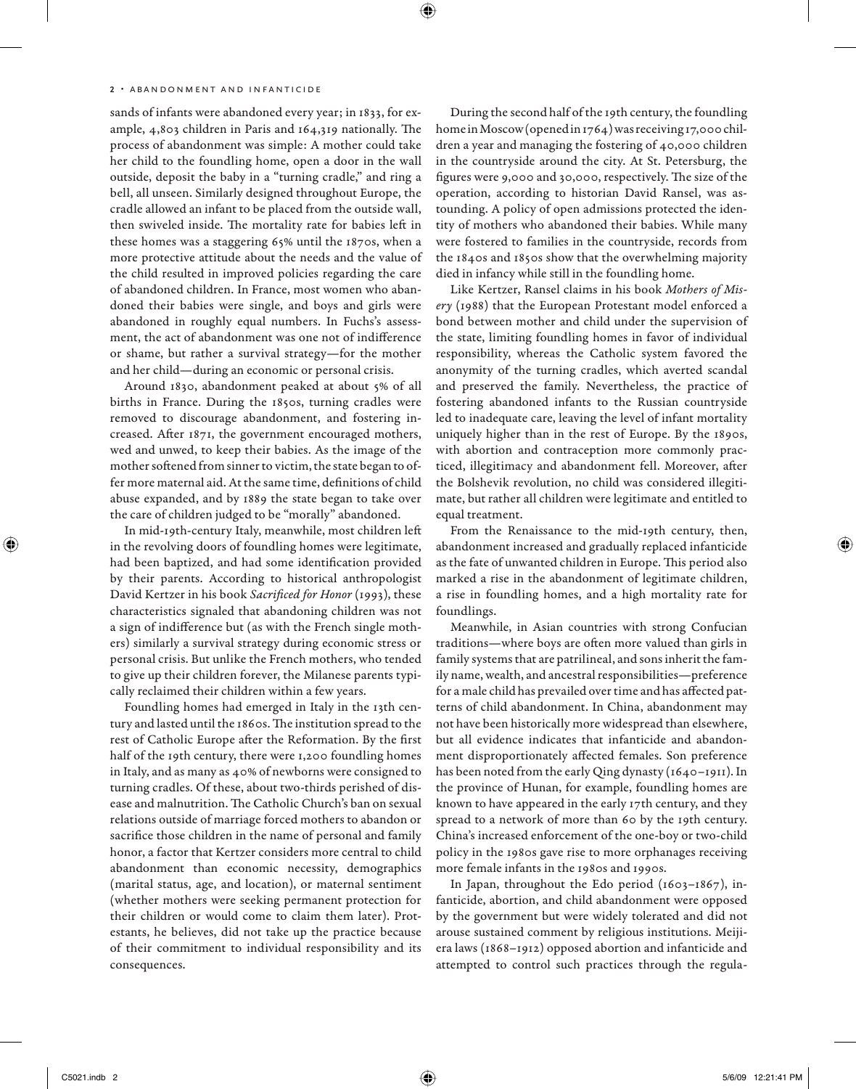sands of infants were abandoned every year; in 1833, for example,  $4,803$  children in Paris and  $164,319$  nationally. The process of abandonment was simple: A mother could take her child to the foundling home, open a door in the wall outside, deposit the baby in a "turning cradle," and ring a bell, all unseen. Similarly designed throughout Europe, the cradle allowed an infant to be placed from the outside wall, then swiveled inside. The mortality rate for babies left in these homes was a staggering 65% until the 1870s, when a more protective attitude about the needs and the value of the child resulted in improved policies regarding the care of abandoned children. In France, most women who abandoned their babies were single, and boys and girls were abandoned in roughly equal numbers. In Fuchs's assessment, the act of abandonment was one not of indifference or shame, but rather a survival strategy—for the mother and her child—during an economic or personal crisis.

Around 1830, abandonment peaked at about 5% of all births in France. During the 1850s, turning cradles were removed to discourage abandonment, and fostering increased. After 1871, the government encouraged mothers, wed and unwed, to keep their babies. As the image of the mother softened from sinner to victim, the state began to offer more maternal aid. At the same time, definitions of child abuse expanded, and by 1889 the state began to take over the care of children judged to be "morally" abandoned.

In mid-19th-century Italy, meanwhile, most children left in the revolving doors of foundling homes were legitimate, had been baptized, and had some identification provided by their parents. According to historical anthropologist David Kertzer in his book *Sacrificed for Honor* (1993), these characteristics signaled that abandoning children was not a sign of indifference but (as with the French single mothers) similarly a survival strategy during economic stress or personal crisis. But unlike the French mothers, who tended to give up their children forever, the Milanese parents typically reclaimed their children within a few years.

Foundling homes had emerged in Italy in the 13th century and lasted until the 1860s. The institution spread to the rest of Catholic Europe after the Reformation. By the first half of the 19th century, there were 1,200 foundling homes in Italy, and as many as 40% of newborns were consigned to turning cradles. Of these, about two-thirds perished of disease and malnutrition. The Catholic Church's ban on sexual relations outside of marriage forced mothers to abandon or sacrifice those children in the name of personal and family honor, a factor that Kertzer considers more central to child abandonment than economic necessity, demographics (marital status, age, and location), or maternal sentiment (whether mothers were seeking permanent protection for their children or would come to claim them later). Protestants, he believes, did not take up the practice because of their commitment to individual responsibility and its consequences.

During the second half of the 19th century, the foundling home in Moscow (opened in 1764) was receiving 17,000 children a year and managing the fostering of 40,000 children in the countryside around the city. At St. Petersburg, the figures were 9,000 and 30,000, respectively. The size of the operation, according to historian David Ransel, was astounding. A policy of open admissions protected the identity of mothers who abandoned their babies. While many were fostered to families in the countryside, records from the 1840s and 1850s show that the overwhelming majority died in infancy while still in the foundling home.

Like Kertzer, Ransel claims in his book *Mothers of Misery* (1988) that the European Protestant model enforced a bond between mother and child under the supervision of the state, limiting foundling homes in favor of individual responsibility, whereas the Catholic system favored the anonymity of the turning cradles, which averted scandal and preserved the family. Nevertheless, the practice of fostering abandoned infants to the Russian countryside led to inadequate care, leaving the level of infant mortality uniquely higher than in the rest of Europe. By the 1890s, with abortion and contraception more commonly practiced, illegitimacy and abandonment fell. Moreover, after the Bolshevik revolution, no child was considered illegitimate, but rather all children were legitimate and entitled to equal treatment.

From the Renaissance to the mid-19th century, then, abandonment increased and gradually replaced infanticide as the fate of unwanted children in Europe. This period also marked a rise in the abandonment of legitimate children, a rise in foundling homes, and a high mortality rate for foundlings.

Meanwhile, in Asian countries with strong Confucian traditions—where boys are often more valued than girls in family systems that are patrilineal, and sons inherit the family name, wealth, and ancestral responsibilities—preference for a male child has prevailed over time and has affected patterns of child abandonment. In China, abandonment may not have been historically more widespread than elsewhere, but all evidence indicates that infanticide and abandonment disproportionately affected females. Son preference has been noted from the early Qing dynasty (1640-1911). In the province of Hunan, for example, foundling homes are known to have appeared in the early 17th century, and they spread to a network of more than 60 by the 19th century. China's increased enforcement of the one-boy or two-child policy in the 1980s gave rise to more orphanages receiving more female infants in the 1980s and 1990s.

In Japan, throughout the Edo period (1603–1867), infanticide, abortion, and child abandonment were opposed by the government but were widely tolerated and did not arouse sustained comment by religious institutions. Meijiera laws (1868–1912) opposed abortion and infanticide and attempted to control such practices through the regula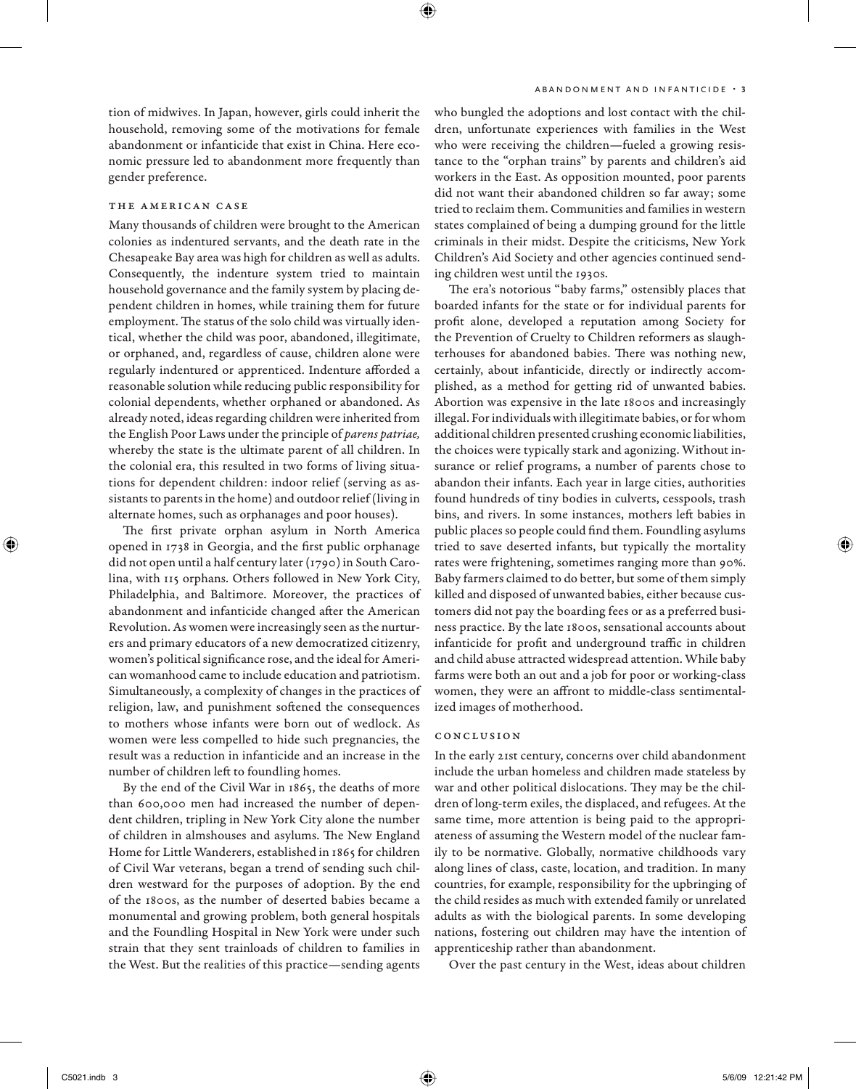tion of midwives. In Japan, however, girls could inherit the household, removing some of the motivations for female abandonment or infanticide that exist in China. Here economic pressure led to abandonment more frequently than gender preference.

The American Case Many thousands of children were brought to the American colonies as indentured servants, and the death rate in the Chesapeake Bay area was high for children as well as adults. Consequently, the indenture system tried to maintain household governance and the family system by placing dependent children in homes, while training them for future employment. The status of the solo child was virtually identical, whether the child was poor, abandoned, illegitimate, or orphaned, and, regardless of cause, children alone were regularly indentured or apprenticed. Indenture afforded a reasonable solution while reducing public responsibility for colonial dependents, whether orphaned or abandoned. As already noted, ideas regarding children were inherited from the English Poor Laws under the principle of *parens patriae,* whereby the state is the ultimate parent of all children. In the colonial era, this resulted in two forms of living situations for dependent children: indoor relief (serving as assistants to parents in the home) and outdoor relief (living in alternate homes, such as orphanages and poor houses).

The first private orphan asylum in North America opened in 1738 in Georgia, and the first public orphanage did not open until a half century later (1790) in South Carolina, with 115 orphans. Others followed in New York City, Philadelphia, and Baltimore. Moreover, the practices of abandonment and infanticide changed after the American Revolution. As women were increasingly seen as the nurturers and primary educators of a new democratized citizenry, women's political significance rose, and the ideal for American womanhood came to include education and patriotism. Simultaneously, a complexity of changes in the practices of religion, law, and punishment softened the consequences to mothers whose infants were born out of wedlock. As women were less compelled to hide such pregnancies, the result was a reduction in infanticide and an increase in the number of children left to foundling homes.

By the end of the Civil War in 1865, the deaths of more than 600,000 men had increased the number of dependent children, tripling in New York City alone the number of children in almshouses and asylums. The New England Home for Little Wanderers, established in 1865 for children of Civil War veterans, began a trend of sending such children westward for the purposes of adoption. By the end of the 1800s, as the number of deserted babies became a monumental and growing problem, both general hospitals and the Foundling Hospital in New York were under such strain that they sent trainloads of children to families in the West. But the realities of this practice—sending agents

who bungled the adoptions and lost contact with the children, unfortunate experiences with families in the West who were receiving the children—fueled a growing resistance to the "orphan trains" by parents and children's aid workers in the East. As opposition mounted, poor parents did not want their abandoned children so far away; some tried to reclaim them. Communities and families in western states complained of being a dumping ground for the little criminals in their midst. Despite the criticisms, New York Children's Aid Society and other agencies continued sending children west until the 1930s.

The era's notorious "baby farms," ostensibly places that boarded infants for the state or for individual parents for profit alone, developed a reputation among Society for the Prevention of Cruelty to Children reformers as slaughterhouses for abandoned babies. There was nothing new, certainly, about infanticide, directly or indirectly accomplished, as a method for getting rid of unwanted babies. Abortion was expensive in the late 1800s and increasingly illegal. For individuals with illegitimate babies, or for whom additional children presented crushing economic liabilities, the choices were typically stark and agonizing. Without insurance or relief programs, a number of parents chose to abandon their infants. Each year in large cities, authorities found hundreds of tiny bodies in culverts, cesspools, trash bins, and rivers. In some instances, mothers left babies in public places so people could find them. Foundling asylums tried to save deserted infants, but typically the mortality rates were frightening, sometimes ranging more than 90%. Baby farmers claimed to do better, but some of them simply killed and disposed of unwanted babies, either because customers did not pay the boarding fees or as a preferred business practice. By the late 1800s, sensational accounts about infanticide for profit and underground traffic in children and child abuse attracted widespread attention. While baby farms were both an out and a job for poor or working-class women, they were an affront to middle-class sentimentalized images of motherhood.

### CONCLUSION

In the early 21st century, concerns over child abandonment include the urban homeless and children made stateless by war and other political dislocations. They may be the children of long-term exiles, the displaced, and refugees. At the same time, more attention is being paid to the appropriateness of assuming the Western model of the nuclear family to be normative. Globally, normative childhoods vary along lines of class, caste, location, and tradition. In many countries, for example, responsibility for the upbringing of the child resides as much with extended family or unrelated adults as with the biological parents. In some developing nations, fostering out children may have the intention of apprenticeship rather than abandonment.

Over the past century in the West, ideas about children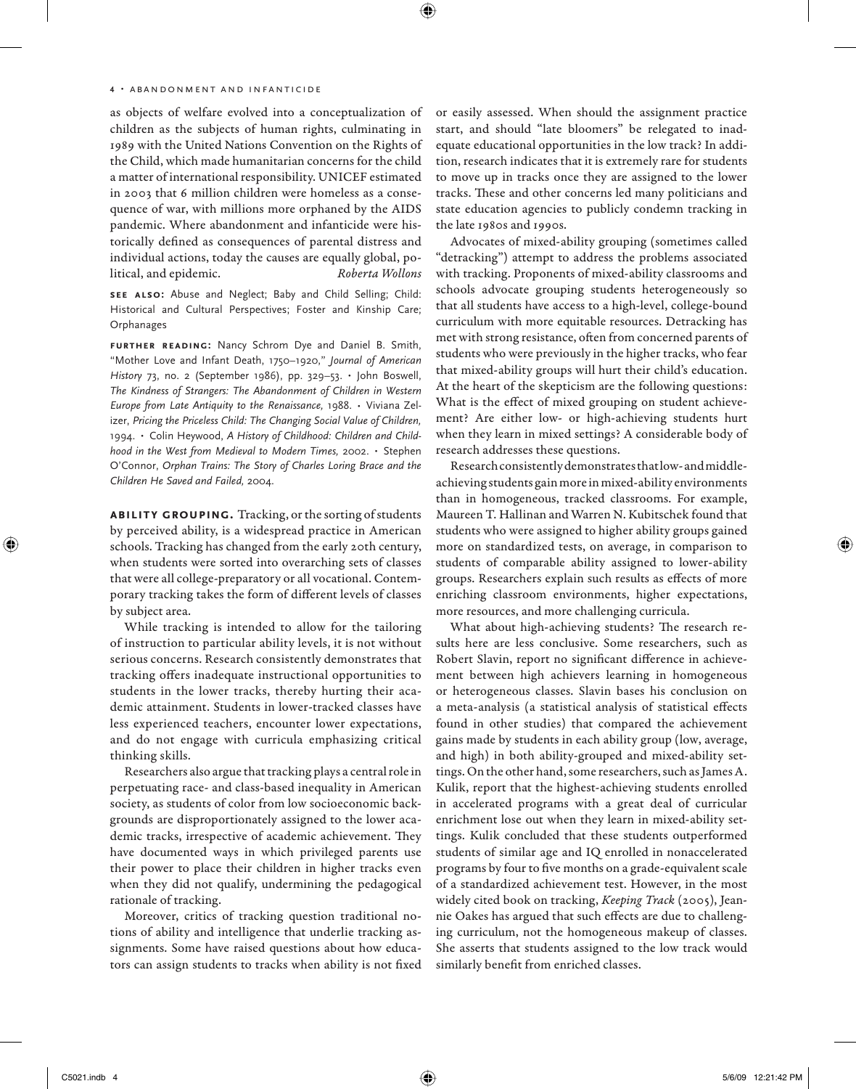as objects of welfare evolved into a conceptualization of children as the subjects of human rights, culminating in 1989 with the United Nations Convention on the Rights of the Child, which made humanitarian concerns for the child a matter of international responsibility. UNICEF estimated in 2003 that 6 million children were homeless as a consequence of war, with millions more orphaned by the AIDS pandemic. Where abandonment and infanticide were historically defined as consequences of parental distress and individual actions, today the causes are equally global, political, and epidemic. *Roberta Wollons*

see also: Abuse and Neglect; Baby and Child Selling; Child: Historical and Cultural Perspectives; Foster and Kinship Care; Orphanages

FURTHER READING: Nancy Schrom Dye and Daniel B. Smith, "Mother Love and Infant Death, 1750–1920," Journal of American History 73, no. 2 (September 1986), pp. 329–53. • John Boswell, The Kindness of Strangers: The Abandonment of Children in Western Europe from Late Antiquity to the Renaissance, 1988. • Viviana Zelizer, Pricing the Priceless Child: The Changing Social Value of Children, 1994. • Colin Heywood, A History of Childhood: Children and Childhood in the West from Medieval to Modern Times, 2002. • Stephen O'Connor, Orphan Trains: The Story of Charles Loring Brace and the Children He Saved and Failed, 2004.

ABILITY GROUPING. Tracking, or the sorting of students by perceived ability, is a widespread practice in American schools. Tracking has changed from the early 20th century, when students were sorted into overarching sets of classes that were all college-preparatory or all vocational. Contemporary tracking takes the form of different levels of classes by subject area.

While tracking is intended to allow for the tailoring of instruction to particular ability levels, it is not without serious concerns. Research consistently demonstrates that tracking offers inadequate instructional opportunities to students in the lower tracks, thereby hurting their academic attainment. Students in lower-tracked classes have less experienced teachers, encounter lower expectations, and do not engage with curricula emphasizing critical thinking skills.

Researchers also argue that tracking plays a central role in perpetuating race- and class-based inequality in American society, as students of color from low socioeconomic backgrounds are disproportionately assigned to the lower academic tracks, irrespective of academic achievement. They have documented ways in which privileged parents use their power to place their children in higher tracks even when they did not qualify, undermining the pedagogical rationale of tracking.

Moreover, critics of tracking question traditional notions of ability and intelligence that underlie tracking assignments. Some have raised questions about how educators can assign students to tracks when ability is not fixed or easily assessed. When should the assignment practice start, and should "late bloomers" be relegated to inadequate educational opportunities in the low track? In addition, research indicates that it is extremely rare for students to move up in tracks once they are assigned to the lower tracks. These and other concerns led many politicians and state education agencies to publicly condemn tracking in the late 1980s and 1990s.

Advocates of mixed-ability grouping (sometimes called "detracking") attempt to address the problems associated with tracking. Proponents of mixed-ability classrooms and schools advocate grouping students heterogeneously so that all students have access to a high-level, college-bound curriculum with more equitable resources. Detracking has met with strong resistance, often from concerned parents of students who were previously in the higher tracks, who fear that mixed-ability groups will hurt their child's education. At the heart of the skepticism are the following questions: What is the effect of mixed grouping on student achievement? Are either low- or high-achieving students hurt when they learn in mixed settings? A considerable body of research addresses these questions.

Research consistently demonstrates that low- and middleachieving students gain more in mixed-ability environments than in homogeneous, tracked classrooms. For example, Maureen T. Hallinan and Warren N. Kubitschek found that students who were assigned to higher ability groups gained more on standardized tests, on average, in comparison to students of comparable ability assigned to lower-ability groups. Researchers explain such results as effects of more enriching classroom environments, higher expectations, more resources, and more challenging curricula.

What about high-achieving students? The research results here are less conclusive. Some researchers, such as Robert Slavin, report no significant difference in achievement between high achievers learning in homogeneous or heterogeneous classes. Slavin bases his conclusion on a meta-analysis (a statistical analysis of statistical effects found in other studies) that compared the achievement gains made by students in each ability group (low, average, and high) in both ability-grouped and mixed-ability settings. On the other hand, some researchers, such as James A. Kulik, report that the highest-achieving students enrolled in accelerated programs with a great deal of curricular enrichment lose out when they learn in mixed-ability settings. Kulik concluded that these students outperformed students of similar age and IQ enrolled in nonaccelerated programs by four to five months on a grade-equivalent scale of a standardized achievement test. However, in the most widely cited book on tracking, *Keeping Track* (2005), Jeannie Oakes has argued that such effects are due to challenging curriculum, not the homogeneous makeup of classes. She asserts that students assigned to the low track would similarly benefit from enriched classes.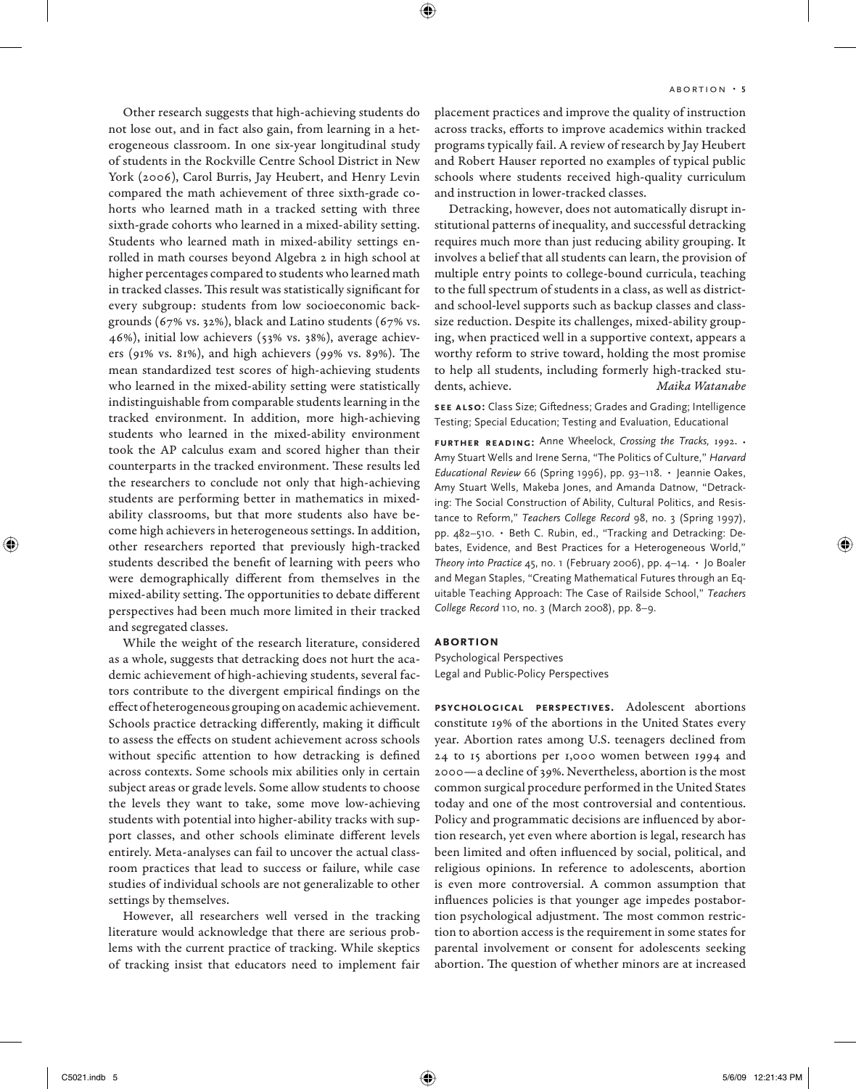Other research suggests that high-achieving students do not lose out, and in fact also gain, from learning in a heterogeneous classroom. In one six-year longitudinal study of students in the Rockville Centre School District in New York (2006), Carol Burris, Jay Heubert, and Henry Levin compared the math achievement of three sixth-grade cohorts who learned math in a tracked setting with three sixth-grade cohorts who learned in a mixed-ability setting. Students who learned math in mixed-ability settings enrolled in math courses beyond Algebra 2 in high school at higher percentages compared to students who learned math in tracked classes. This result was statistically significant for every subgroup: students from low socioeconomic backgrounds (67% vs. 32%), black and Latino students (67% vs. 46%), initial low achievers (53% vs. 38%), average achievers (91% vs. 81%), and high achievers (99% vs. 89%). The mean standardized test scores of high-achieving students who learned in the mixed-ability setting were statistically indistinguishable from comparable students learning in the tracked environment. In addition, more high-achieving students who learned in the mixed-ability environment took the AP calculus exam and scored higher than their counterparts in the tracked environment. These results led the researchers to conclude not only that high-achieving students are performing better in mathematics in mixedability classrooms, but that more students also have become high achievers in heterogeneous settings. In addition, other researchers reported that previously high-tracked students described the benefit of learning with peers who were demographically different from themselves in the mixed-ability setting. The opportunities to debate different perspectives had been much more limited in their tracked and segregated classes.

While the weight of the research literature, considered as a whole, suggests that detracking does not hurt the academic achievement of high-achieving students, several factors contribute to the divergent empirical findings on the effect of heterogeneous grouping on academic achievement. Schools practice detracking differently, making it difficult to assess the effects on student achievement across schools without specific attention to how detracking is defined across contexts. Some schools mix abilities only in certain subject areas or grade levels. Some allow students to choose the levels they want to take, some move low-achieving students with potential into higher-ability tracks with support classes, and other schools eliminate different levels entirely. Meta-analyses can fail to uncover the actual classroom practices that lead to success or failure, while case studies of individual schools are not generalizable to other settings by themselves.

However, all researchers well versed in the tracking literature would acknowledge that there are serious problems with the current practice of tracking. While skeptics of tracking insist that educators need to implement fair

placement practices and improve the quality of instruction across tracks, efforts to improve academics within tracked programs typically fail. A review of research by Jay Heubert and Robert Hauser reported no examples of typical public schools where students received high-quality curriculum and instruction in lower-tracked classes.

Detracking, however, does not automatically disrupt institutional patterns of inequality, and successful detracking requires much more than just reducing ability grouping. It involves a belief that all students can learn, the provision of multiple entry points to college-bound curricula, teaching to the full spectrum of students in a class, as well as districtand school-level supports such as backup classes and classsize reduction. Despite its challenges, mixed-ability grouping, when practiced well in a supportive context, appears a worthy reform to strive toward, holding the most promise to help all students, including formerly high-tracked students, achieve. *Maika Watanabe*

see also: Class Size; Giftedness; Grades and Grading; Intelligence Testing; Special Education; Testing and Evaluation, Educational

FURTHER READING: Anne Wheelock, Crossing the Tracks, 1992. • Amy Stuart Wells and Irene Serna, "The Politics of Culture," Harvard Educational Review 66 (Spring 1996), pp. 93–118. • Jeannie Oakes, Amy Stuart Wells, Makeba Jones, and Amanda Datnow, "Detracking: The Social Construction of Ability, Cultural Politics, and Resistance to Reform," Teachers College Record 98, no. 3 (Spring 1997), pp. 482–510. • Beth C. Rubin, ed., "Tracking and Detracking: Debates, Evidence, and Best Practices for a Heterogeneous World," Theory into Practice 45, no. 1 (February 2006), pp. 4–14. • Jo Boaler and Megan Staples, "Creating Mathematical Futures through an Equitable Teaching Approach: The Case of Railside School," Teachers College Record 110, no. 3 (March 2008), pp. 8–9.

## **ABORTION**

Psychological Perspectives Legal and Public-Policy Perspectives

psychological perspectives. Adolescent abortions constitute 19% of the abortions in the United States every year. Abortion rates among U.S. teenagers declined from 24 to 15 abortions per 1,000 women between 1994 and 2000—a decline of 39%. Nevertheless, abortion is the most common surgical procedure performed in the United States today and one of the most controversial and contentious. Policy and programmatic decisions are influenced by abortion research, yet even where abortion is legal, research has been limited and often influenced by social, political, and religious opinions. In reference to adolescents, abortion is even more controversial. A common assumption that influences policies is that younger age impedes postabortion psychological adjustment. The most common restriction to abortion access is the requirement in some states for parental involvement or consent for adolescents seeking abortion. The question of whether minors are at increased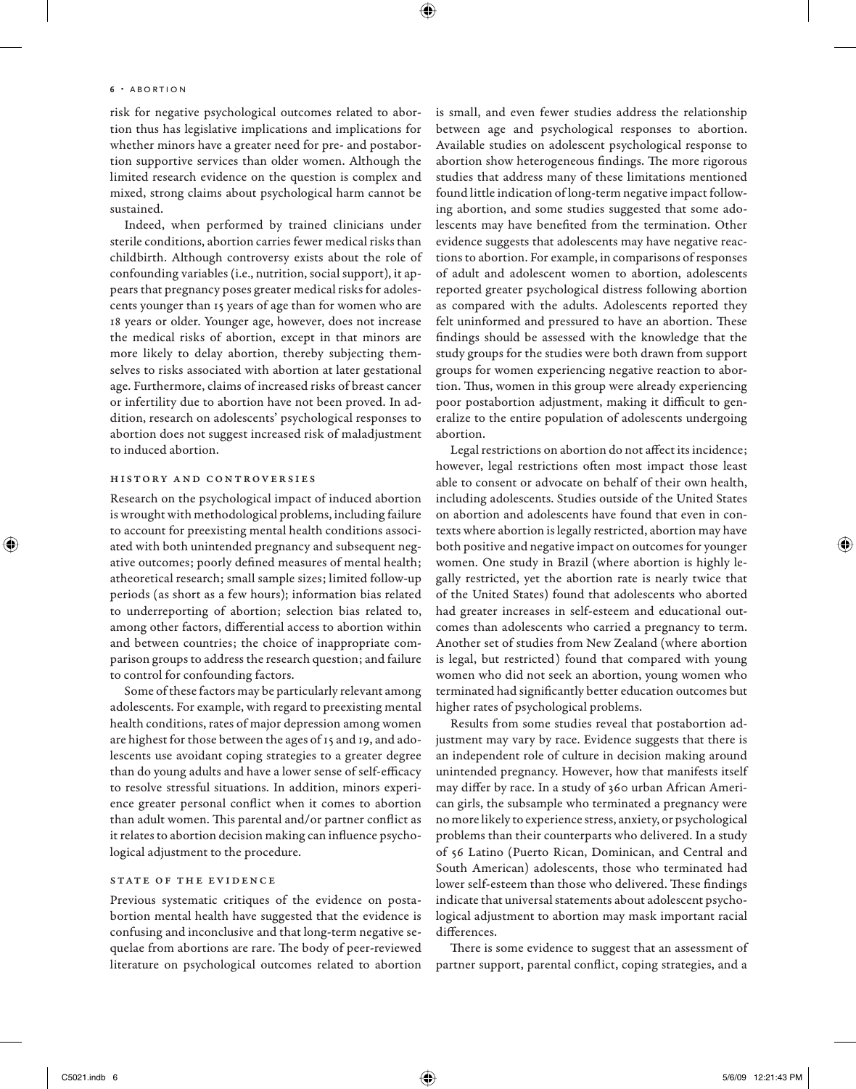risk for negative psychological outcomes related to abortion thus has legislative implications and implications for whether minors have a greater need for pre- and postabortion supportive services than older women. Although the limited research evidence on the question is complex and mixed, strong claims about psychological harm cannot be sustained.

Indeed, when performed by trained clinicians under sterile conditions, abortion carries fewer medical risks than childbirth. Although controversy exists about the role of confounding variables (i.e., nutrition, social support), it appears that pregnancy poses greater medical risks for adolescents younger than 15 years of age than for women who are 18 years or older. Younger age, however, does not increase the medical risks of abortion, except in that minors are more likely to delay abortion, thereby subjecting themselves to risks associated with abortion at later gestational age. Furthermore, claims of increased risks of breast cancer or infertility due to abortion have not been proved. In addition, research on adolescents' psychological responses to abortion does not suggest increased risk of maladjustment to induced abortion.

### HISTORY AND CONTROVERSIES

History and Controversies Research on the psychological impact of induced abortion is wrought with methodological problems, including failure to account for preexisting mental health conditions associated with both unintended pregnancy and subsequent negative outcomes; poorly defined measures of mental health; atheoretical research; small sample sizes; limited follow-up periods (as short as a few hours); information bias related to underreporting of abortion; selection bias related to, among other factors, differential access to abortion within and between countries; the choice of inappropriate comparison groups to address the research question; and failure to control for confounding factors.

Some of these factors may be particularly relevant among adolescents. For example, with regard to preexisting mental health conditions, rates of major depression among women are highest for those between the ages of 15 and 19, and adolescents use avoidant coping strategies to a greater degree than do young adults and have a lower sense of self-efficacy to resolve stressful situations. In addition, minors experience greater personal conflict when it comes to abortion than adult women. This parental and/or partner conflict as it relates to abortion decision making can influence psychological adjustment to the procedure.

Previous systematic critiques of the evidence on postabortion mental health have suggested that the evidence is confusing and inconclusive and that long-term negative sequelae from abortions are rare. The body of peer-reviewed literature on psychological outcomes related to abortion is small, and even fewer studies address the relationship between age and psychological responses to abortion. Available studies on adolescent psychological response to abortion show heterogeneous findings. The more rigorous studies that address many of these limitations mentioned found little indication of long-term negative impact following abortion, and some studies suggested that some adolescents may have benefited from the termination. Other evidence suggests that adolescents may have negative reactions to abortion. For example, in comparisons of responses of adult and adolescent women to abortion, adolescents reported greater psychological distress following abortion as compared with the adults. Adolescents reported they felt uninformed and pressured to have an abortion. These findings should be assessed with the knowledge that the study groups for the studies were both drawn from support groups for women experiencing negative reaction to abortion. Thus, women in this group were already experiencing poor postabortion adjustment, making it difficult to generalize to the entire population of adolescents undergoing abortion.

Legal restrictions on abortion do not affect its incidence; however, legal restrictions often most impact those least able to consent or advocate on behalf of their own health, including adolescents. Studies outside of the United States on abortion and adolescents have found that even in contexts where abortion is legally restricted, abortion may have both positive and negative impact on outcomes for younger women. One study in Brazil (where abortion is highly legally restricted, yet the abortion rate is nearly twice that of the United States) found that adolescents who aborted had greater increases in self-esteem and educational outcomes than adolescents who carried a pregnancy to term. Another set of studies from New Zealand (where abortion is legal, but restricted) found that compared with young women who did not seek an abortion, young women who terminated had significantly better education outcomes but higher rates of psychological problems.

Results from some studies reveal that postabortion adjustment may vary by race. Evidence suggests that there is an independent role of culture in decision making around unintended pregnancy. However, how that manifests itself may differ by race. In a study of 360 urban African American girls, the subsample who terminated a pregnancy were no more likely to experience stress, anxiety, or psychological problems than their counterparts who delivered. In a study of 56 Latino (Puerto Rican, Dominican, and Central and South American) adolescents, those who terminated had lower self-esteem than those who delivered. These findings indicate that universal statements about adolescent psychological adjustment to abortion may mask important racial differences.

There is some evidence to suggest that an assessment of partner support, parental conflict, coping strategies, and a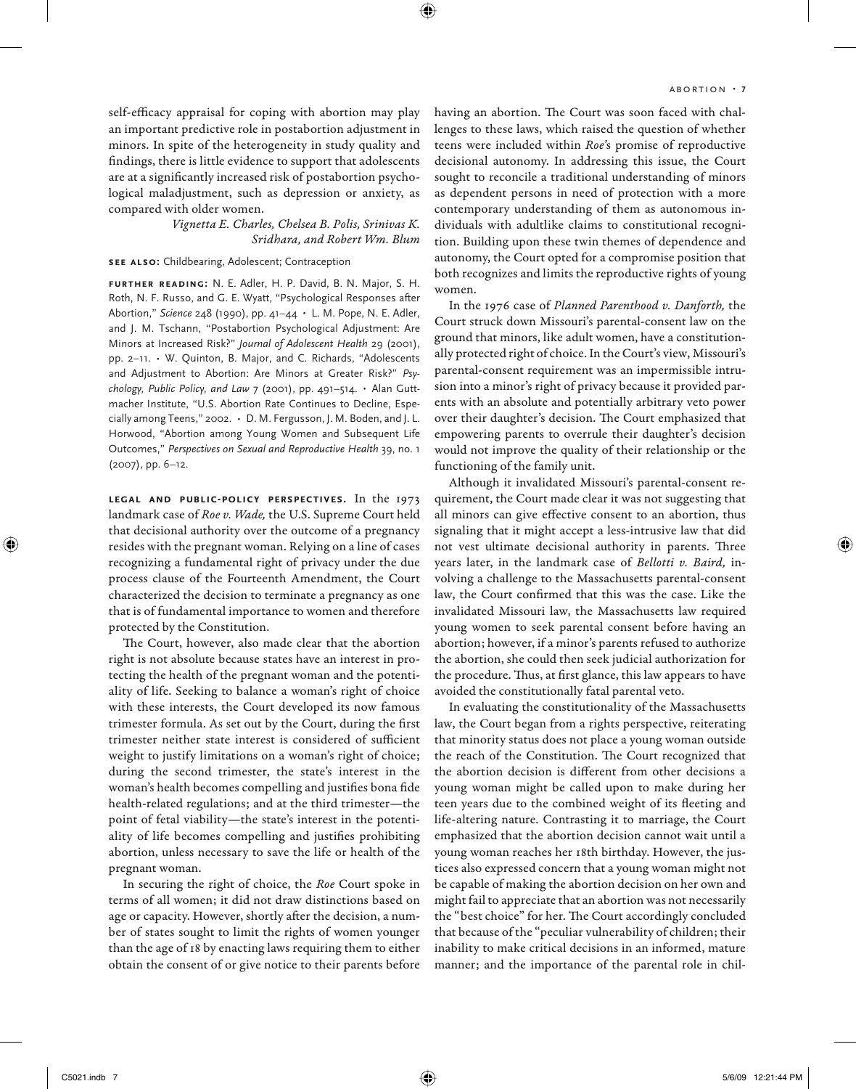self-efficacy appraisal for coping with abortion may play an important predictive role in postabortion adjustment in minors. In spite of the heterogeneity in study quality and findings, there is little evidence to support that adolescents are at a significantly increased risk of postabortion psychological maladjustment, such as depression or anxiety, as compared with older women.

> *Vignetta E. Charles, Chelsea B. Polis, Srinivas K. Sridhara, and Robert Wm. Blum*

## see also: Childbearing, Adolescent; Contraception

further reading: N. E. Adler, H. P. David, B. N. Major, S. H. Roth, N. F. Russo, and G. E. Wyatt, "Psychological Responses after Abortion," Science 248 (1990), pp. 41–44 • L. M. Pope, N. E. Adler, and J. M. Tschann, "Postabortion Psychological Adjustment: Are Minors at Increased Risk?" Journal of Adolescent Health 29 (2001), pp. 2–11. • W. Quinton, B. Major, and C. Richards, "Adolescents and Adjustment to Abortion: Are Minors at Greater Risk?" Psychology, Public Policy, and Law  $7$  (2001), pp. 491-514. • Alan Guttmacher Institute, "U.S. Abortion Rate Continues to Decline, Especially among Teens," 2002. • D. M. Fergusson, J. M. Boden, and J. L. Horwood, "Abortion among Young Women and Subsequent Life Outcomes," Perspectives on Sexual and Reproductive Health 39, no. 1 (2007), pp. 6–12.

legal and public-policy perspectives. In the 1973 landmark case of *Roe v. Wade,* the U.S. Supreme Court held that decisional authority over the outcome of a pregnancy resides with the pregnant woman. Relying on a line of cases recognizing a fundamental right of privacy under the due process clause of the Fourteenth Amendment, the Court characterized the decision to terminate a pregnancy as one that is of fundamental importance to women and therefore protected by the Constitution.

The Court, however, also made clear that the abortion right is not absolute because states have an interest in protecting the health of the pregnant woman and the potentiality of life. Seeking to balance a woman's right of choice with these interests, the Court developed its now famous trimester formula. As set out by the Court, during the first trimester neither state interest is considered of sufficient weight to justify limitations on a woman's right of choice; during the second trimester, the state's interest in the woman's health becomes compelling and justifies bona fide health-related regulations; and at the third trimester—the point of fetal viability—the state's interest in the potentiality of life becomes compelling and justifies prohibiting abortion, unless necessary to save the life or health of the pregnant woman.

In securing the right of choice, the *Roe* Court spoke in terms of all women; it did not draw distinctions based on age or capacity. However, shortly after the decision, a number of states sought to limit the rights of women younger than the age of 18 by enacting laws requiring them to either obtain the consent of or give notice to their parents before

having an abortion. The Court was soon faced with challenges to these laws, which raised the question of whether teens were included within *Roe'*s promise of reproductive decisional autonomy. In addressing this issue, the Court sought to reconcile a traditional understanding of minors as dependent persons in need of protection with a more contemporary understanding of them as autonomous individuals with adultlike claims to constitutional recognition. Building upon these twin themes of dependence and autonomy, the Court opted for a compromise position that both recognizes and limits the reproductive rights of young women.

In the 1976 case of *Planned Parenthood v. Danforth,* the Court struck down Missouri's parental-consent law on the ground that minors, like adult women, have a constitutionally protected right of choice. In the Court's view, Missouri's parental-consent requirement was an impermissible intrusion into a minor's right of privacy because it provided parents with an absolute and potentially arbitrary veto power over their daughter's decision. The Court emphasized that empowering parents to overrule their daughter's decision would not improve the quality of their relationship or the functioning of the family unit.

Although it invalidated Missouri's parental-consent requirement, the Court made clear it was not suggesting that all minors can give effective consent to an abortion, thus signaling that it might accept a less-intrusive law that did not vest ultimate decisional authority in parents. Three years later, in the landmark case of *Bellotti v. Baird,* involving a challenge to the Massachusetts parental-consent law, the Court confirmed that this was the case. Like the invalidated Missouri law, the Massachusetts law required young women to seek parental consent before having an abortion; however, if a minor's parents refused to authorize the abortion, she could then seek judicial authorization for the procedure. Thus, at first glance, this law appears to have avoided the constitutionally fatal parental veto.

In evaluating the constitutionality of the Massachusetts law, the Court began from a rights perspective, reiterating that minority status does not place a young woman outside the reach of the Constitution. The Court recognized that the abortion decision is different from other decisions a young woman might be called upon to make during her teen years due to the combined weight of its fleeting and life-altering nature. Contrasting it to marriage, the Court emphasized that the abortion decision cannot wait until a young woman reaches her 18th birthday. However, the justices also expressed concern that a young woman might not be capable of making the abortion decision on her own and might fail to appreciate that an abortion was not necessarily the "best choice" for her. The Court accordingly concluded that because of the "peculiar vulnerability of children; their inability to make critical decisions in an informed, mature manner; and the importance of the parental role in chil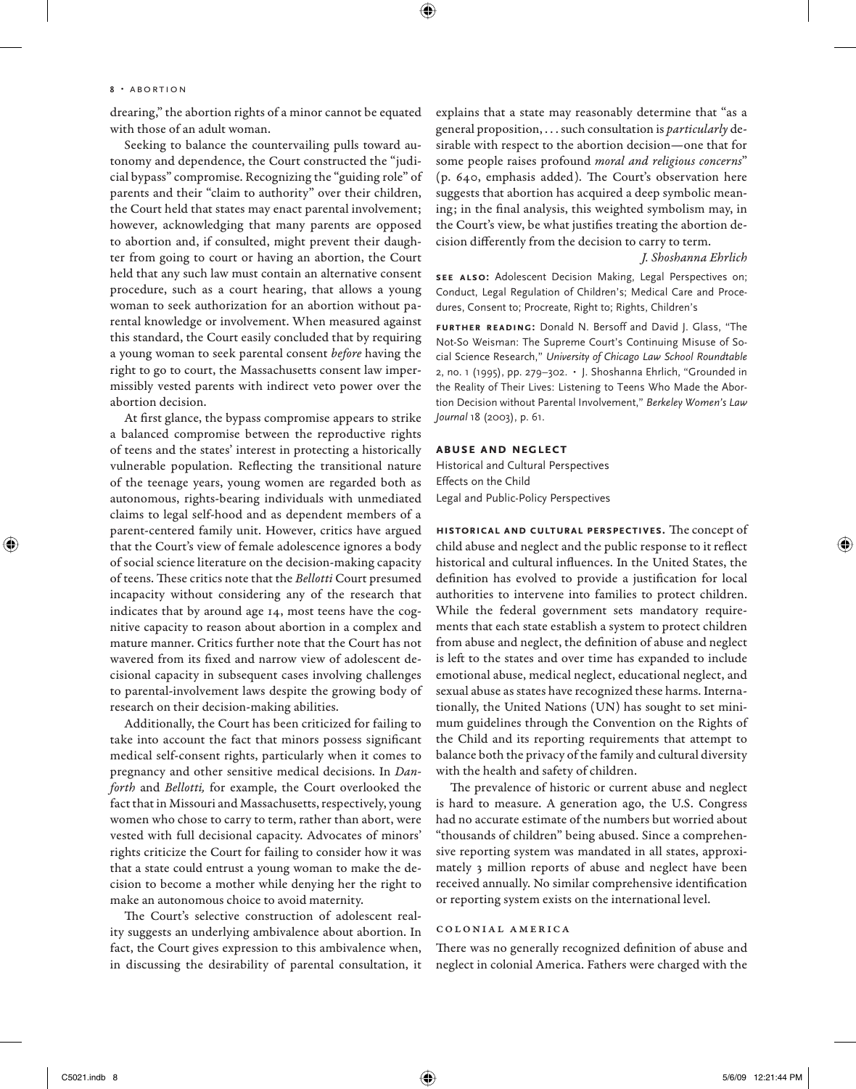drearing," the abortion rights of a minor cannot be equated with those of an adult woman.

Seeking to balance the countervailing pulls toward autonomy and dependence, the Court constructed the "judicial bypass" compromise. Recognizing the "guiding role" of parents and their "claim to authority" over their children, the Court held that states may enact parental involvement; however, acknowledging that many parents are opposed to abortion and, if consulted, might prevent their daughter from going to court or having an abortion, the Court held that any such law must contain an alternative consent procedure, such as a court hearing, that allows a young woman to seek authorization for an abortion without parental knowledge or involvement. When measured against this standard, the Court easily concluded that by requiring a young woman to seek parental consent *before* having the right to go to court, the Massachusetts consent law impermissibly vested parents with indirect veto power over the abortion decision.

At first glance, the bypass compromise appears to strike a balanced compromise between the reproductive rights of teens and the states' interest in protecting a historically vulnerable population. Reflecting the transitional nature of the teenage years, young women are regarded both as autonomous, rights-bearing individuals with unmediated claims to legal self-hood and as dependent members of a parent-centered family unit. However, critics have argued that the Court's view of female adolescence ignores a body of social science literature on the decision-making capacity of teens. Th ese critics note that the *Bellotti* Court presumed incapacity without considering any of the research that indicates that by around age 14, most teens have the cognitive capacity to reason about abortion in a complex and mature manner. Critics further note that the Court has not wavered from its fixed and narrow view of adolescent decisional capacity in subsequent cases involving challenges to parental-involvement laws despite the growing body of research on their decision-making abilities.

Additionally, the Court has been criticized for failing to take into account the fact that minors possess significant medical self-consent rights, particularly when it comes to pregnancy and other sensitive medical decisions. In *Danforth* and *Bellotti,* for example, the Court overlooked the fact that in Missouri and Massachusetts, respectively, young women who chose to carry to term, rather than abort, were vested with full decisional capacity. Advocates of minors' rights criticize the Court for failing to consider how it was that a state could entrust a young woman to make the decision to become a mother while denying her the right to make an autonomous choice to avoid maternity.

The Court's selective construction of adolescent reality suggests an underlying ambivalence about abortion. In fact, the Court gives expression to this ambivalence when, in discussing the desirability of parental consultation, it explains that a state may reasonably determine that "as a general proposition, . . . such consultation is *particularly* desirable with respect to the abortion decision—one that for some people raises profound *moral and religious concerns*"  $(p. 640,$  emphasis added). The Court's observation here suggests that abortion has acquired a deep symbolic meaning; in the final analysis, this weighted symbolism may, in the Court's view, be what justifies treating the abortion decision differently from the decision to carry to term.

### *J. Shoshanna Ehrlich*

SEE ALSO: Adolescent Decision Making, Legal Perspectives on; Conduct, Legal Regulation of Children's; Medical Care and Procedures, Consent to; Procreate, Right to; Rights, Children's

FURTHER READING: Donald N. Bersoff and David J. Glass, "The Not-So Weisman: The Supreme Court's Continuing Misuse of Social Science Research," University of Chicago Law School Roundtable 2, no. 1 (1995), pp. 279–302. • J. Shoshanna Ehrlich, "Grounded in the Reality of Their Lives: Listening to Teens Who Made the Abortion Decision without Parental Involvement," Berkeley Women's Law Journal 18 (2003), p. 61.

## abuse and neglect

Historical and Cultural Perspectives Effects on the Child Legal and Public-Policy Perspectives

HISTORICAL AND CULTURAL PERSPECTIVES. The concept of child abuse and neglect and the public response to it reflect historical and cultural influences. In the United States, the definition has evolved to provide a justification for local authorities to intervene into families to protect children. While the federal government sets mandatory requirements that each state establish a system to protect children from abuse and neglect, the definition of abuse and neglect is left to the states and over time has expanded to include emotional abuse, medical neglect, educational neglect, and sexual abuse as states have recognized these harms. Internationally, the United Nations (UN) has sought to set minimum guidelines through the Convention on the Rights of the Child and its reporting requirements that attempt to balance both the privacy of the family and cultural diversity with the health and safety of children.

The prevalence of historic or current abuse and neglect is hard to measure. A generation ago, the U.S. Congress had no accurate estimate of the numbers but worried about "thousands of children" being abused. Since a comprehensive reporting system was mandated in all states, approximately 3 million reports of abuse and neglect have been received annually. No similar comprehensive identification or reporting system exists on the international level.

-------------------------<br>There was no generally recognized definition of abuse and neglect in colonial America. Fathers were charged with the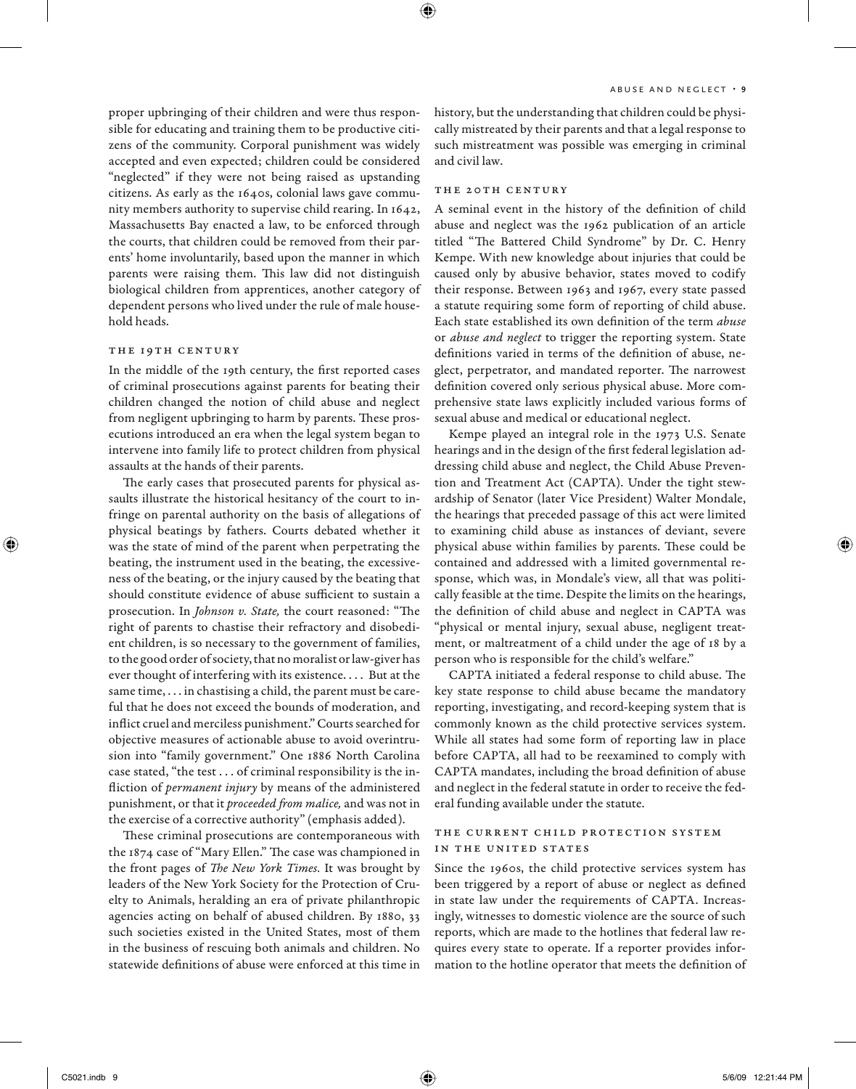proper upbringing of their children and were thus responsible for educating and training them to be productive citizens of the community. Corporal punishment was widely accepted and even expected; children could be considered "neglected" if they were not being raised as upstanding citizens. As early as the 1640s, colonial laws gave community members authority to supervise child rearing. In 1642, Massachusetts Bay enacted a law, to be enforced through the courts, that children could be removed from their parents' home involuntarily, based upon the manner in which parents were raising them. This law did not distinguish biological children from apprentices, another category of dependent persons who lived under the rule of male household heads.

In the middle of the 19th century, the first reported cases of criminal prosecutions against parents for beating their children changed the notion of child abuse and neglect from negligent upbringing to harm by parents. These prosecutions introduced an era when the legal system began to intervene into family life to protect children from physical assaults at the hands of their parents.

The early cases that prosecuted parents for physical assaults illustrate the historical hesitancy of the court to infringe on parental authority on the basis of allegations of physical beatings by fathers. Courts debated whether it was the state of mind of the parent when perpetrating the beating, the instrument used in the beating, the excessiveness of the beating, or the injury caused by the beating that should constitute evidence of abuse sufficient to sustain a prosecution. In *Johnson v. State*, the court reasoned: "The right of parents to chastise their refractory and disobedient children, is so necessary to the government of families, to the good order of society, that no moralist or law-giver has ever thought of interfering with its existence. . . . But at the same time, . . . in chastising a child, the parent must be careful that he does not exceed the bounds of moderation, and infl ict cruel and merciless punishment." Courts searched for objective measures of actionable abuse to avoid overintrusion into "family government." One 1886 North Carolina case stated, "the test . . . of criminal responsibility is the infliction of *permanent injury* by means of the administered punishment, or that it *proceeded from malice*, and was not in the exercise of a corrective authority" (emphasis added).

These criminal prosecutions are contemporaneous with the 1874 case of "Mary Ellen." The case was championed in the front pages of *The New York Times*. It was brought by leaders of the New York Society for the Protection of Cruelty to Animals, heralding an era of private philanthropic agencies acting on behalf of abused children. By 1880, 33 such societies existed in the United States, most of them in the business of rescuing both animals and children. No statewide definitions of abuse were enforced at this time in history, but the understanding that children could be physically mistreated by their parents and that a legal response to such mistreatment was possible was emerging in criminal and civil law.

A seminal event in the history of the definition of child abuse and neglect was the 1962 publication of an article titled "The Battered Child Syndrome" by Dr. C. Henry Kempe. With new knowledge about injuries that could be caused only by abusive behavior, states moved to codify their response. Between 1963 and 1967, every state passed a statute requiring some form of reporting of child abuse. Each state established its own definition of the term *abuse* or *abuse and neglect* to trigger the reporting system. State definitions varied in terms of the definition of abuse, neglect, perpetrator, and mandated reporter. The narrowest definition covered only serious physical abuse. More comprehensive state laws explicitly included various forms of sexual abuse and medical or educational neglect.

Kempe played an integral role in the 1973 U.S. Senate hearings and in the design of the first federal legislation addressing child abuse and neglect, the Child Abuse Prevention and Treatment Act (CAPTA). Under the tight stewardship of Senator (later Vice President) Walter Mondale, the hearings that preceded passage of this act were limited to examining child abuse as instances of deviant, severe physical abuse within families by parents. These could be contained and addressed with a limited governmental response, which was, in Mondale's view, all that was politically feasible at the time. Despite the limits on the hearings, the definition of child abuse and neglect in CAPTA was "physical or mental injury, sexual abuse, negligent treatment, or maltreatment of a child under the age of 18 by a person who is responsible for the child's welfare."

CAPTA initiated a federal response to child abuse. The key state response to child abuse became the mandatory reporting, investigating, and record-keeping system that is commonly known as the child protective services system. While all states had some form of reporting law in place before CAPTA, all had to be reexamined to comply with CAPTA mandates, including the broad definition of abuse and neglect in the federal statute in order to receive the federal funding available under the statute.

# THE CURRENT CHILD PROTECTION SYSTEM<br>IN THE UNITED STATES

in the United States Since the 1960s, the child protective services system has been triggered by a report of abuse or neglect as defined in state law under the requirements of CAPTA. Increasingly, witnesses to domestic violence are the source of such reports, which are made to the hotlines that federal law requires every state to operate. If a reporter provides information to the hotline operator that meets the definition of